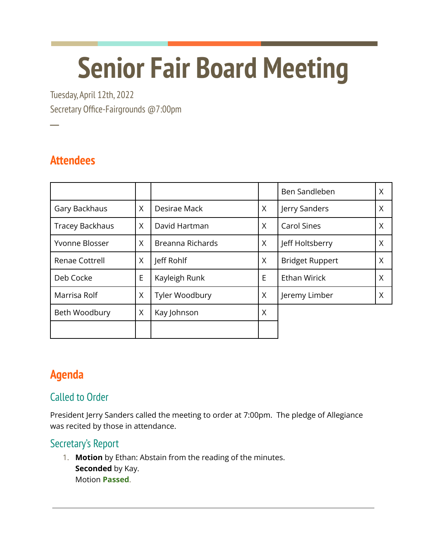# **Senior Fair Board Meeting**

Tuesday, April 12th, 2022 Secretary Office-Fairgrounds @7:00pm

## **Attendees**

**─**

|                        |   |                  |          | Ben Sandleben          | X |
|------------------------|---|------------------|----------|------------------------|---|
| Gary Backhaus          | X | Desirae Mack     | $\times$ | Jerry Sanders          | X |
| <b>Tracey Backhaus</b> | X | David Hartman    | $\times$ | <b>Carol Sines</b>     | X |
| Yvonne Blosser         | X | Breanna Richards | $\times$ | Jeff Holtsberry        | X |
| Renae Cottrell         | X | Jeff Rohlf       | X        | <b>Bridget Ruppert</b> | X |
| Deb Cocke              | E | Kayleigh Runk    | E        | <b>Ethan Wirick</b>    | X |
| Marrisa Rolf           | X | Tyler Woodbury   | $\times$ | Jeremy Limber          | X |
| Beth Woodbury          | X | Kay Johnson      | X        |                        |   |
|                        |   |                  |          |                        |   |

# **Agenda**

## Called to Order

President Jerry Sanders called the meeting to order at 7:00pm. The pledge of Allegiance was recited by those in attendance.

### Secretary's Report

1. **Motion** by Ethan: Abstain from the reading of the minutes. **Seconded** by Kay. Motion **Passed**.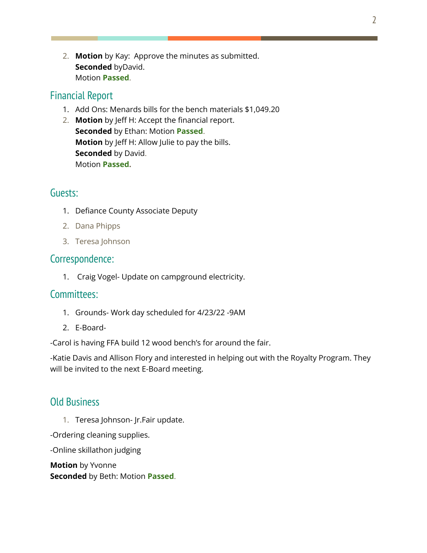2. **Motion** by Kay: Approve the minutes as submitted. **Seconded** byDavid. Motion **Passed**.

#### Financial Report

- 1. Add Ons: Menards bills for the bench materials \$1,049.20
- 2. **Motion** by Jeff H: Accept the financial report. **Seconded** by Ethan: Motion **Passed**. **Motion** by Jeff H: Allow Julie to pay the bills. **Seconded** by David. Motion **Passed.**

#### Guests:

- 1. Defiance County Associate Deputy
- 2. Dana Phipps
- 3. Teresa Johnson

#### Correspondence:

1. Craig Vogel- Update on campground electricity.

#### Committees:

- 1. Grounds- Work day scheduled for 4/23/22 -9AM
- 2. E-Board-

-Carol is having FFA build 12 wood bench's for around the fair.

-Katie Davis and Allison Flory and interested in helping out with the Royalty Program. They will be invited to the next E-Board meeting.

#### Old Business

1. Teresa Johnson- Jr.Fair update.

-Ordering cleaning supplies.

-Online skillathon judging

**Motion** by Yvonne **Seconded** by Beth: Motion **Passed**.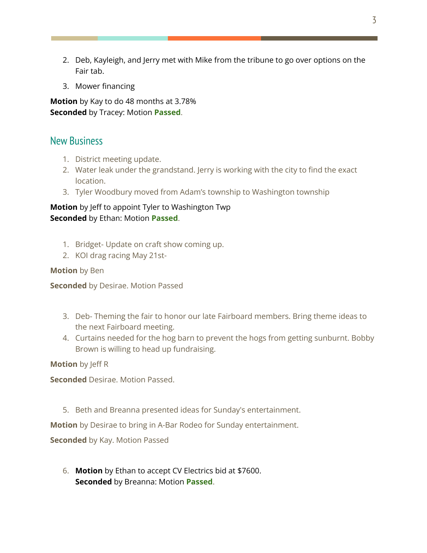- 2. Deb, Kayleigh, and Jerry met with Mike from the tribune to go over options on the Fair tab.
- 3. Mower financing

**Motion** by Kay to do 48 months at 3.78% **Seconded** by Tracey: Motion **Passed**.

#### New Business

- 1. District meeting update.
- 2. Water leak under the grandstand. Jerry is working with the city to find the exact location.
- 3. Tyler Woodbury moved from Adam's township to Washington township

#### **Motion** by Jeff to appoint Tyler to Washington Twp **Seconded** by Ethan: Motion **Passed**.

- 1. Bridget- Update on craft show coming up.
- 2. KOI drag racing May 21st-

#### **Motion** by Ben

**Seconded** by Desirae. Motion Passed

- 3. Deb- Theming the fair to honor our late Fairboard members. Bring theme ideas to the next Fairboard meeting.
- 4. Curtains needed for the hog barn to prevent the hogs from getting sunburnt. Bobby Brown is willing to head up fundraising.

**Motion** by Jeff R

**Seconded** Desirae. Motion Passed.

5. Beth and Breanna presented ideas for Sunday's entertainment.

**Motion** by Desirae to bring in A-Bar Rodeo for Sunday entertainment.

**Seconded** by Kay. Motion Passed

6. **Motion** by Ethan to accept CV Electrics bid at \$7600. **Seconded** by Breanna: Motion **Passed**.